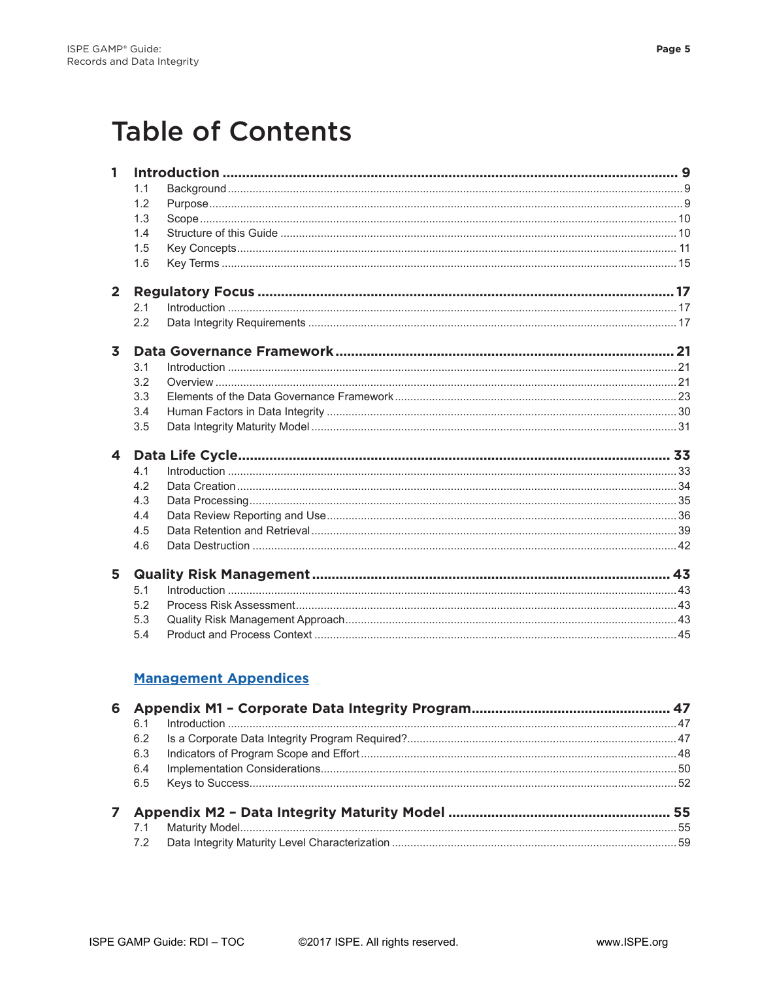## **Table of Contents**

|                         | 1.1 |                              |  |
|-------------------------|-----|------------------------------|--|
|                         | 1.2 |                              |  |
|                         | 1.3 |                              |  |
|                         | 1.4 |                              |  |
|                         | 1.5 |                              |  |
|                         | 1.6 |                              |  |
| $\overline{2}$          |     |                              |  |
|                         | 2.1 |                              |  |
|                         | 2.2 |                              |  |
| $\overline{\mathbf{3}}$ |     |                              |  |
|                         | 3.1 |                              |  |
|                         | 3.2 |                              |  |
|                         | 3.3 |                              |  |
|                         | 3.4 |                              |  |
|                         | 3.5 |                              |  |
|                         |     |                              |  |
| $\overline{\mathbf{4}}$ |     |                              |  |
|                         | 4.1 |                              |  |
|                         | 4.2 |                              |  |
|                         | 4.3 |                              |  |
|                         | 4.4 |                              |  |
|                         | 4.5 |                              |  |
|                         | 4.6 |                              |  |
| 5                       |     |                              |  |
|                         | 5.1 |                              |  |
|                         | 5.2 |                              |  |
|                         | 5.3 |                              |  |
|                         | 5.4 |                              |  |
|                         |     |                              |  |
| 6                       |     | <b>Management Appendices</b> |  |

| 6.1 |  |  |
|-----|--|--|
| 6.2 |  |  |
| 6.3 |  |  |
| 6.4 |  |  |
|     |  |  |
|     |  |  |
| 7.1 |  |  |
|     |  |  |
|     |  |  |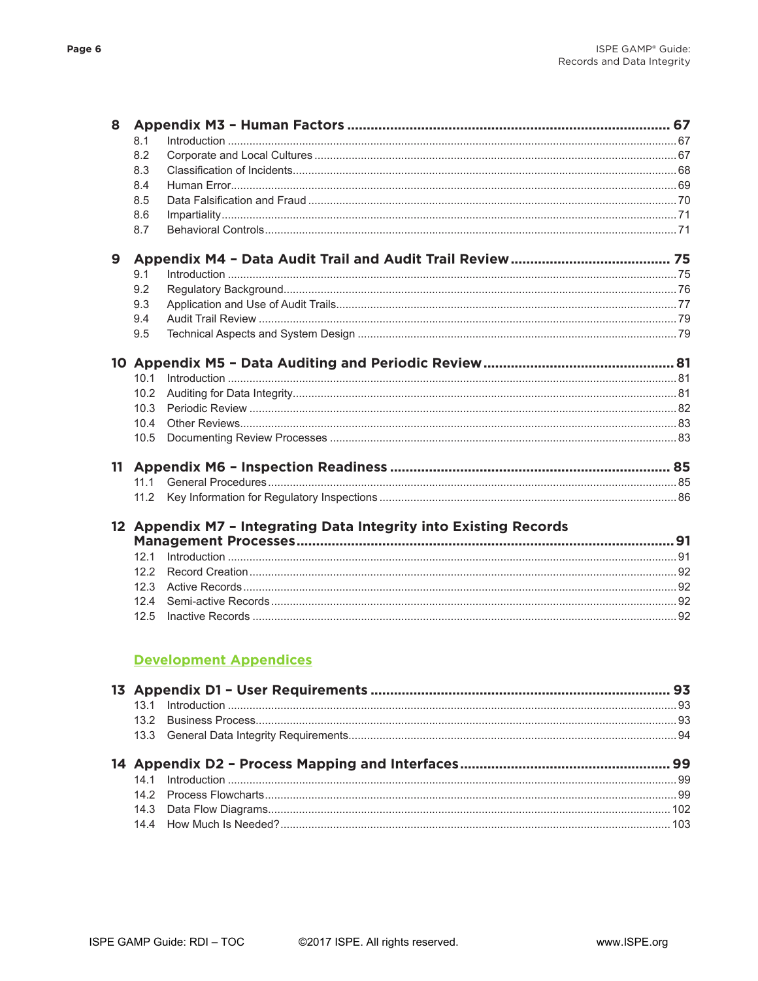| 8.2  |                                                                                          |
|------|------------------------------------------------------------------------------------------|
| 8.3  |                                                                                          |
| 8.4  |                                                                                          |
| 8.5  |                                                                                          |
| 8.6  |                                                                                          |
| 8.7  |                                                                                          |
|      |                                                                                          |
| 9.1  |                                                                                          |
| 9.2  |                                                                                          |
| 9.3  |                                                                                          |
| 9.4  |                                                                                          |
| 9.5  |                                                                                          |
|      |                                                                                          |
| 10.1 |                                                                                          |
| 10.2 |                                                                                          |
| 10.3 |                                                                                          |
| 10.4 |                                                                                          |
|      |                                                                                          |
|      |                                                                                          |
|      |                                                                                          |
|      |                                                                                          |
|      |                                                                                          |
|      |                                                                                          |
|      |                                                                                          |
| 12.2 |                                                                                          |
| 12.3 |                                                                                          |
| 12.4 |                                                                                          |
|      |                                                                                          |
|      | 10.5<br>111<br>12 Appendix M7 - Integrating Data Integrity into Existing Records<br>12.5 |

## **Development Appendices**

©2017 ISPE. All rights reserved.